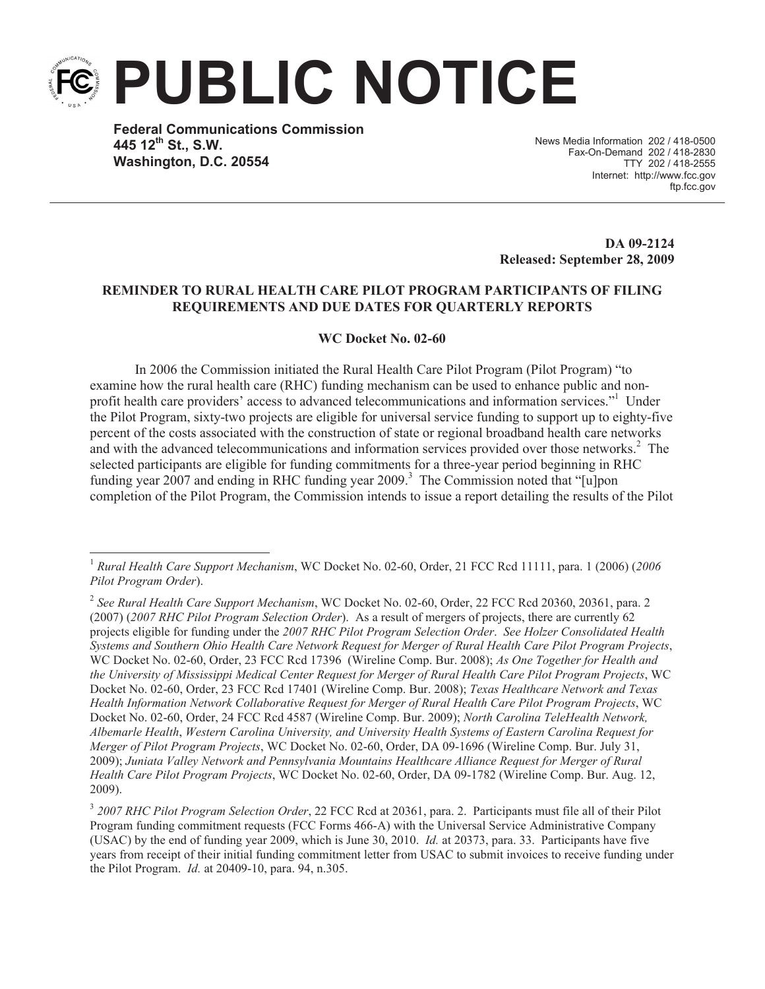**PUBLIC NOTICE**

**Federal Communications Commission 445 12th St., S.W. Washington, D.C. 20554**

News Media Information 202 / 418-0500 Fax-On-Demand 202 / 418-2830 TTY 202 / 418-2555 Internet: http://www.fcc.gov ftp.fcc.gov

**DA 09-2124 Released: September 28, 2009**

## **REMINDER TO RURAL HEALTH CARE PILOT PROGRAM PARTICIPANTS OF FILING REQUIREMENTS AND DUE DATES FOR QUARTERLY REPORTS**

**WC Docket No. 02-60**

In 2006 the Commission initiated the Rural Health Care Pilot Program (Pilot Program) "to examine how the rural health care (RHC) funding mechanism can be used to enhance public and nonprofit health care providers' access to advanced telecommunications and information services."<sup>1</sup> Under the Pilot Program, sixty-two projects are eligible for universal service funding to support up to eighty-five percent of the costs associated with the construction of state or regional broadband health care networks and with the advanced telecommunications and information services provided over those networks.<sup>2</sup> The selected participants are eligible for funding commitments for a three-year period beginning in RHC funding year 2007 and ending in RHC funding year  $2009$ .<sup>3</sup> The Commission noted that "[u]pon completion of the Pilot Program, the Commission intends to issue a report detailing the results of the Pilot

<sup>1</sup> *Rural Health Care Support Mechanism*, WC Docket No. 02-60, Order, 21 FCC Rcd 11111, para. 1 (2006) (*2006 Pilot Program Order*).

<sup>2</sup> *See Rural Health Care Support Mechanism*, WC Docket No. 02-60, Order, 22 FCC Rcd 20360, 20361, para. 2 (2007) (*2007 RHC Pilot Program Selection Order*). As a result of mergers of projects, there are currently 62 projects eligible for funding under the *2007 RHC Pilot Program Selection Order*. *See Holzer Consolidated Health Systems and Southern Ohio Health Care Network Request for Merger of Rural Health Care Pilot Program Projects*, WC Docket No. 02-60, Order, 23 FCC Rcd 17396 (Wireline Comp. Bur. 2008); *As One Together for Health and the University of Mississippi Medical Center Request for Merger of Rural Health Care Pilot Program Projects*, WC Docket No. 02-60, Order, 23 FCC Rcd 17401 (Wireline Comp. Bur. 2008); *Texas Healthcare Network and Texas Health Information Network Collaborative Request for Merger of Rural Health Care Pilot Program Projects*, WC Docket No. 02-60, Order, 24 FCC Rcd 4587 (Wireline Comp. Bur. 2009); *North Carolina TeleHealth Network, Albemarle Health*, *Western Carolina University, and University Health Systems of Eastern Carolina Request for Merger of Pilot Program Projects*, WC Docket No. 02-60, Order, DA 09-1696 (Wireline Comp. Bur. July 31, 2009); *Juniata Valley Network and Pennsylvania Mountains Healthcare Alliance Request for Merger of Rural Health Care Pilot Program Projects*, WC Docket No. 02-60, Order, DA 09-1782 (Wireline Comp. Bur. Aug. 12, 2009).

<sup>3</sup> *2007 RHC Pilot Program Selection Order*, 22 FCC Rcd at 20361, para. 2. Participants must file all of their Pilot Program funding commitment requests (FCC Forms 466-A) with the Universal Service Administrative Company (USAC) by the end of funding year 2009, which is June 30, 2010. *Id.* at 20373, para. 33. Participants have five years from receipt of their initial funding commitment letter from USAC to submit invoices to receive funding under the Pilot Program. *Id.* at 20409-10, para. 94, n.305.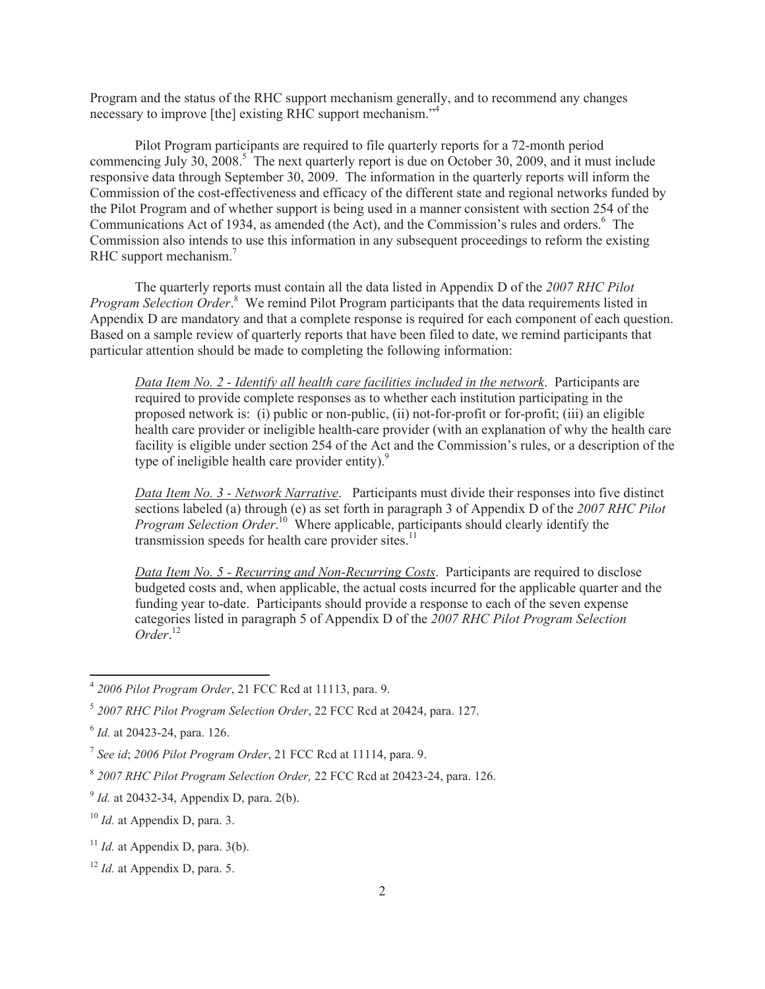Program and the status of the RHC support mechanism generally, and to recommend any changes necessary to improve [the] existing RHC support mechanism."<sup>4</sup>

Pilot Program participants are required to file quarterly reports for a 72-month period commencing July 30, 2008.<sup>5</sup> The next quarterly report is due on October 30, 2009, and it must include responsive data through September 30, 2009. The information in the quarterly reports will inform the Commission of the cost-effectiveness and efficacy of the different state and regional networks funded by the Pilot Program and of whether support is being used in a manner consistent with section 254 of the Communications Act of 1934, as amended (the Act), and the Commission's rules and orders.<sup>6</sup> The Commission also intends to use this information in any subsequent proceedings to reform the existing RHC support mechanism.<sup>7</sup>

The quarterly reports must contain all the data listed in Appendix D of the *2007 RHC Pilot Program Selection Order*. <sup>8</sup> We remind Pilot Program participants that the data requirements listed in Appendix D are mandatory and that a complete response is required for each component of each question. Based on a sample review of quarterly reports that have been filed to date, we remind participants that particular attention should be made to completing the following information:

*Data Item No. 2 - Identify all health care facilities included in the network*. Participants are required to provide complete responses as to whether each institution participating in the proposed network is: (i) public or non-public, (ii) not-for-profit or for-profit; (iii) an eligible health care provider or ineligible health-care provider (with an explanation of why the health care facility is eligible under section 254 of the Act and the Commission's rules, or a description of the type of ineligible health care provider entity). $\frac{9}{2}$ 

*Data Item No. 3 - Network Narrative*. Participants must divide their responses into five distinct sections labeled (a) through (e) as set forth in paragraph 3 of Appendix D of the *2007 RHC Pilot Program Selection Order*. <sup>10</sup> Where applicable, participants should clearly identify the transmission speeds for health care provider sites. $^{11}$ 

*Data Item No. 5 - Recurring and Non-Recurring Costs*. Participants are required to disclose budgeted costs and, when applicable, the actual costs incurred for the applicable quarter and the funding year to-date. Participants should provide a response to each of the seven expense categories listed in paragraph 5 of Appendix D of the *2007 RHC Pilot Program Selection Order*. 12

<sup>4</sup> *2006 Pilot Program Order*, 21 FCC Rcd at 11113, para. 9.

<sup>5</sup> *2007 RHC Pilot Program Selection Order*, 22 FCC Rcd at 20424, para. 127.

<sup>6</sup> *Id.* at 20423-24, para. 126.

<sup>7</sup> *See id*; *2006 Pilot Program Order*, 21 FCC Rcd at 11114, para. 9.

<sup>8</sup> *2007 RHC Pilot Program Selection Order,* 22 FCC Rcd at 20423-24, para. 126.

<sup>&</sup>lt;sup>9</sup> *Id.* at 20432-34, Appendix D, para. 2(b).

<sup>10</sup> *Id.* at Appendix D, para. 3.

 $11$  *Id.* at Appendix D, para. 3(b).

<sup>12</sup> *Id.* at Appendix D, para. 5.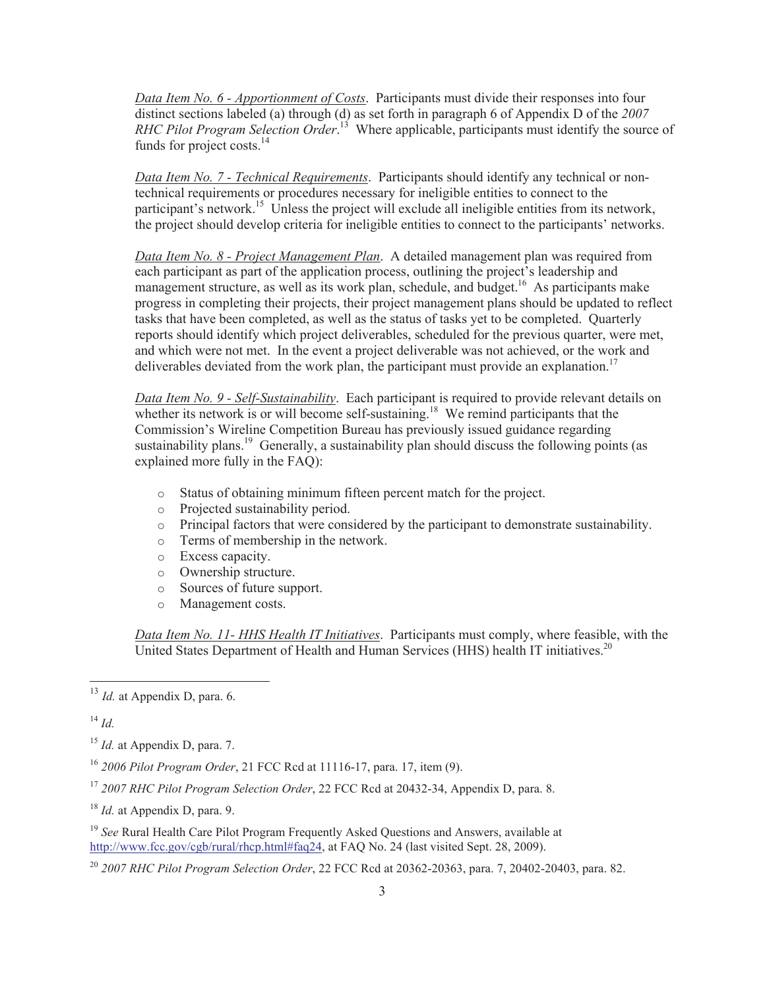*Data Item No. 6 - Apportionment of Costs*. Participants must divide their responses into four distinct sections labeled (a) through (d) as set forth in paragraph 6 of Appendix D of the *2007 RHC Pilot Program Selection Order*. <sup>13</sup> Where applicable, participants must identify the source of funds for project costs.<sup>14</sup>

*Data Item No. 7 - Technical Requirements*. Participants should identify any technical or nontechnical requirements or procedures necessary for ineligible entities to connect to the participant's network.<sup>15</sup> Unless the project will exclude all ineligible entities from its network, the project should develop criteria for ineligible entities to connect to the participants' networks.

*Data Item No. 8 - Project Management Plan*. A detailed management plan was required from each participant as part of the application process, outlining the project's leadership and management structure, as well as its work plan, schedule, and budget.<sup>16</sup> As participants make progress in completing their projects, their project management plans should be updated to reflect tasks that have been completed, as well as the status of tasks yet to be completed. Quarterly reports should identify which project deliverables, scheduled for the previous quarter, were met, and which were not met. In the event a project deliverable was not achieved, or the work and deliverables deviated from the work plan, the participant must provide an explanation.<sup>17</sup>

*Data Item No. 9 - Self-Sustainability*. Each participant is required to provide relevant details on whether its network is or will become self-sustaining.<sup>18</sup> We remind participants that the Commission's Wireline Competition Bureau has previously issued guidance regarding sustainability plans.<sup>19</sup> Generally, a sustainability plan should discuss the following points (as explained more fully in the FAQ):

- o Status of obtaining minimum fifteen percent match for the project.
- o Projected sustainability period.
- o Principal factors that were considered by the participant to demonstrate sustainability.
- o Terms of membership in the network.
- o Excess capacity.
- o Ownership structure.
- o Sources of future support.
- o Management costs.

*Data Item No. 11- HHS Health IT Initiatives*. Participants must comply, where feasible, with the United States Department of Health and Human Services (HHS) health IT initiatives.<sup>20</sup>

<sup>20</sup> *2007 RHC Pilot Program Selection Order*, 22 FCC Rcd at 20362-20363, para. 7, 20402-20403, para. 82.

<sup>13</sup> *Id.* at Appendix D, para. 6.

<sup>14</sup> *Id.*

<sup>15</sup> *Id.* at Appendix D, para. 7.

<sup>16</sup> *2006 Pilot Program Order*, 21 FCC Rcd at 11116-17, para. 17, item (9).

<sup>17</sup> *2007 RHC Pilot Program Selection Order*, 22 FCC Rcd at 20432-34, Appendix D, para. 8.

<sup>18</sup> *Id.* at Appendix D, para. 9.

<sup>19</sup> *See* Rural Health Care Pilot Program Frequently Asked Questions and Answers, available at http://www.fcc.gov/cgb/rural/rhcp.html#faq24, at FAQ No. 24 (last visited Sept. 28, 2009).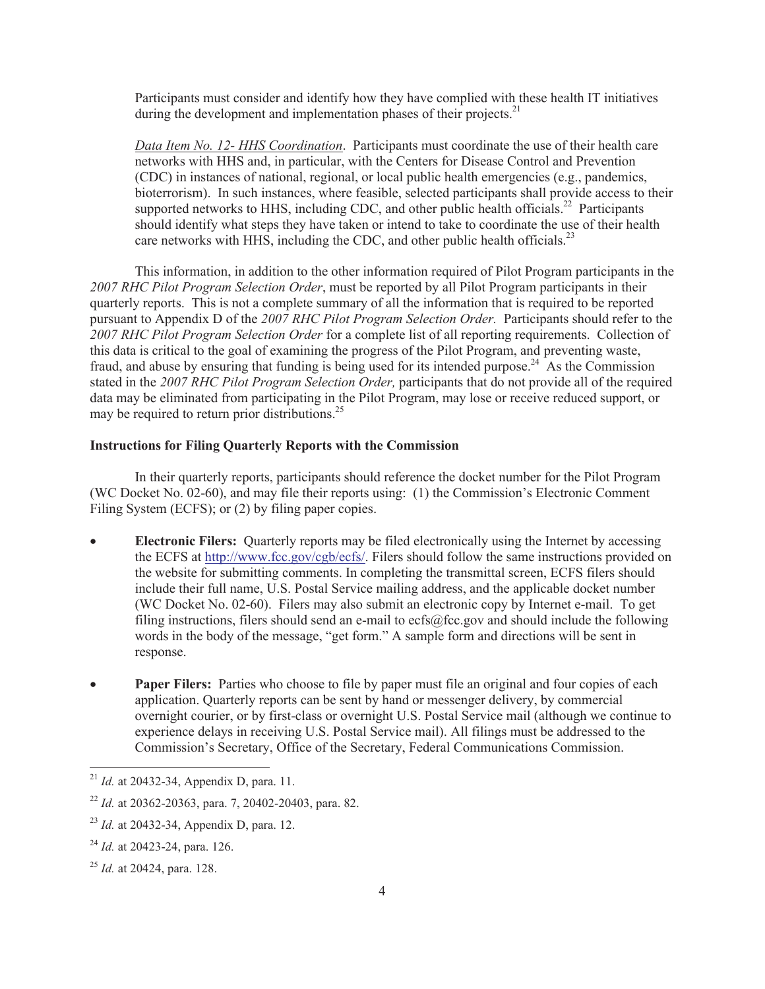Participants must consider and identify how they have complied with these health IT initiatives during the development and implementation phases of their projects.<sup>21</sup>

*Data Item No. 12- HHS Coordination*. Participants must coordinate the use of their health care networks with HHS and, in particular, with the Centers for Disease Control and Prevention (CDC) in instances of national, regional, or local public health emergencies (e.g., pandemics, bioterrorism). In such instances, where feasible, selected participants shall provide access to their supported networks to HHS, including CDC, and other public health officials.<sup>22</sup> Participants should identify what steps they have taken or intend to take to coordinate the use of their health care networks with HHS, including the CDC, and other public health officials.<sup>23</sup>

This information, in addition to the other information required of Pilot Program participants in the *2007 RHC Pilot Program Selection Order*, must be reported by all Pilot Program participants in their quarterly reports. This is not a complete summary of all the information that is required to be reported pursuant to Appendix D of the *2007 RHC Pilot Program Selection Order.* Participants should refer to the *2007 RHC Pilot Program Selection Order* for a complete list of all reporting requirements. Collection of this data is critical to the goal of examining the progress of the Pilot Program, and preventing waste, fraud, and abuse by ensuring that funding is being used for its intended purpose.<sup>24</sup> As the Commission stated in the *2007 RHC Pilot Program Selection Order,* participants that do not provide all of the required data may be eliminated from participating in the Pilot Program, may lose or receive reduced support, or may be required to return prior distributions.<sup>25</sup>

## **Instructions for Filing Quarterly Reports with the Commission**

In their quarterly reports, participants should reference the docket number for the Pilot Program (WC Docket No. 02-60), and may file their reports using: (1) the Commission's Electronic Comment Filing System (ECFS); or (2) by filing paper copies.

- **Electronic Filers:** Quarterly reports may be filed electronically using the Internet by accessing the ECFS at http://www.fcc.gov/cgb/ecfs/. Filers should follow the same instructions provided on the website for submitting comments. In completing the transmittal screen, ECFS filers should include their full name, U.S. Postal Service mailing address, and the applicable docket number (WC Docket No. 02-60). Filers may also submit an electronic copy by Internet e-mail. To get filing instructions, filers should send an e-mail to ecfs@fcc.gov and should include the following words in the body of the message, "get form." A sample form and directions will be sent in response.
- **Paper Filers:** Parties who choose to file by paper must file an original and four copies of each application. Quarterly reports can be sent by hand or messenger delivery, by commercial overnight courier, or by first-class or overnight U.S. Postal Service mail (although we continue to experience delays in receiving U.S. Postal Service mail). All filings must be addressed to the Commission's Secretary, Office of the Secretary, Federal Communications Commission.

<sup>21</sup> *Id.* at 20432-34, Appendix D, para. 11.

<sup>22</sup> *Id.* at 20362-20363, para. 7, 20402-20403, para. 82.

<sup>23</sup> *Id.* at 20432-34, Appendix D, para. 12.

<sup>24</sup> *Id.* at 20423-24, para. 126.

<sup>25</sup> *Id.* at 20424, para. 128.